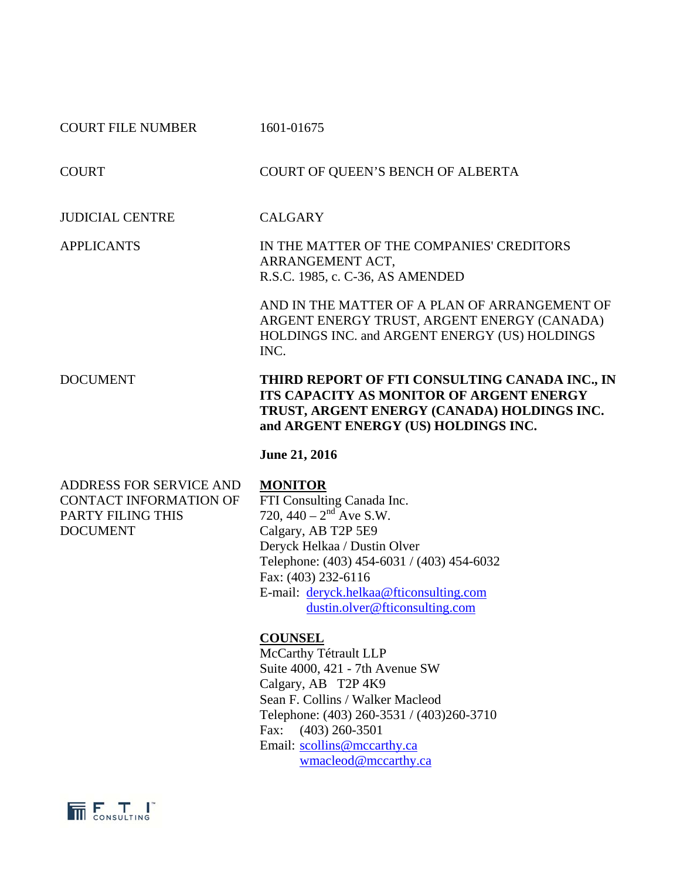|                          | <b>June 21, 2016</b>                                                                                                                                                                     |
|--------------------------|------------------------------------------------------------------------------------------------------------------------------------------------------------------------------------------|
| <b>DOCUMENT</b>          | THIRD REPORT OF FTI CONSULTING CANADA INC., IN<br><b>ITS CAPACITY AS MONITOR OF ARGENT ENERGY</b><br>TRUST, ARGENT ENERGY (CANADA) HOLDINGS INC.<br>and ARGENT ENERGY (US) HOLDINGS INC. |
|                          | AND IN THE MATTER OF A PLAN OF ARRANGEMENT OF<br>ARGENT ENERGY TRUST, ARGENT ENERGY (CANADA)<br>HOLDINGS INC. and ARGENT ENERGY (US) HOLDINGS<br>INC.                                    |
| <b>APPLICANTS</b>        | IN THE MATTER OF THE COMPANIES' CREDITORS<br>ARRANGEMENT ACT,<br>R.S.C. 1985, c. C-36, AS AMENDED                                                                                        |
| <b>JUDICIAL CENTRE</b>   | <b>CALGARY</b>                                                                                                                                                                           |
| <b>COURT</b>             | COURT OF QUEEN'S BENCH OF ALBERTA                                                                                                                                                        |
| <b>COURT FILE NUMBER</b> | 1601-01675                                                                                                                                                                               |

ADDRESS FOR SERVICE AND **MONITOR**<br>CONTACT INFORMATION OF FTI Consulting Canada Inc. CONTACT INFORMATION OF PARTY FILING THIS  $720, 440 - 2^{nd}$  Ave S.W. DOCUMENT Calgary, AB T2P 5E9

 Deryck Helkaa / Dustin Olver Telephone: (403) 454-6031 / (403) 454-6032 Fax: (403) 232-6116 E-mail: deryck.helkaa@fticonsulting.com dustin.olver@fticonsulting.com

## **COUNSEL**

McCarthy Tétrault LLP Suite 4000, 421 - 7th Avenue SW Calgary, AB T2P 4K9 Sean F. Collins / Walker Macleod Telephone: (403) 260-3531 / (403)260-3710 Fax: (403) 260-3501 Email: scollins@mccarthy.ca wmacleod@mccarthy.ca

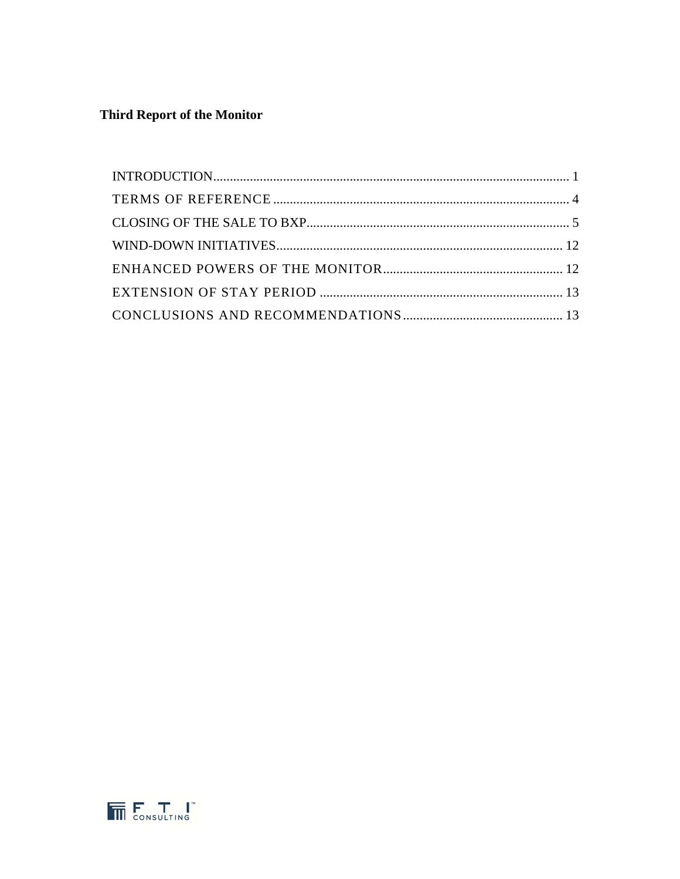# **Third Report of the Monitor**

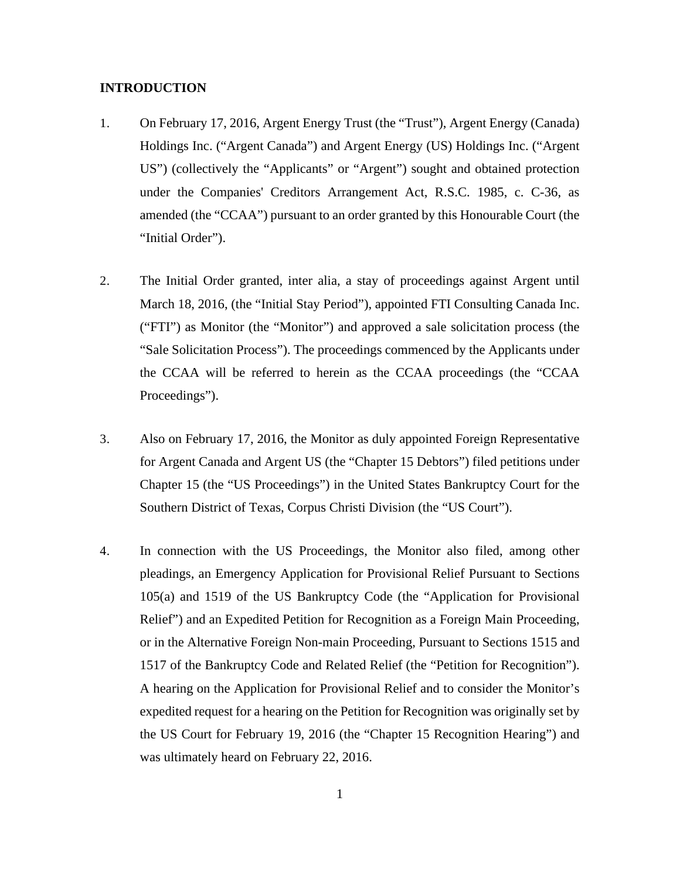#### **INTRODUCTION**

- 1. On February 17, 2016, Argent Energy Trust (the "Trust"), Argent Energy (Canada) Holdings Inc. ("Argent Canada") and Argent Energy (US) Holdings Inc. ("Argent US") (collectively the "Applicants" or "Argent") sought and obtained protection under the Companies' Creditors Arrangement Act, R.S.C. 1985, c. C-36, as amended (the "CCAA") pursuant to an order granted by this Honourable Court (the "Initial Order").
- 2. The Initial Order granted, inter alia, a stay of proceedings against Argent until March 18, 2016, (the "Initial Stay Period"), appointed FTI Consulting Canada Inc. ("FTI") as Monitor (the "Monitor") and approved a sale solicitation process (the "Sale Solicitation Process"). The proceedings commenced by the Applicants under the CCAA will be referred to herein as the CCAA proceedings (the "CCAA Proceedings").
- 3. Also on February 17, 2016, the Monitor as duly appointed Foreign Representative for Argent Canada and Argent US (the "Chapter 15 Debtors") filed petitions under Chapter 15 (the "US Proceedings") in the United States Bankruptcy Court for the Southern District of Texas, Corpus Christi Division (the "US Court").
- 4. In connection with the US Proceedings, the Monitor also filed, among other pleadings, an Emergency Application for Provisional Relief Pursuant to Sections 105(a) and 1519 of the US Bankruptcy Code (the "Application for Provisional Relief") and an Expedited Petition for Recognition as a Foreign Main Proceeding, or in the Alternative Foreign Non-main Proceeding, Pursuant to Sections 1515 and 1517 of the Bankruptcy Code and Related Relief (the "Petition for Recognition"). A hearing on the Application for Provisional Relief and to consider the Monitor's expedited request for a hearing on the Petition for Recognition was originally set by the US Court for February 19, 2016 (the "Chapter 15 Recognition Hearing") and was ultimately heard on February 22, 2016.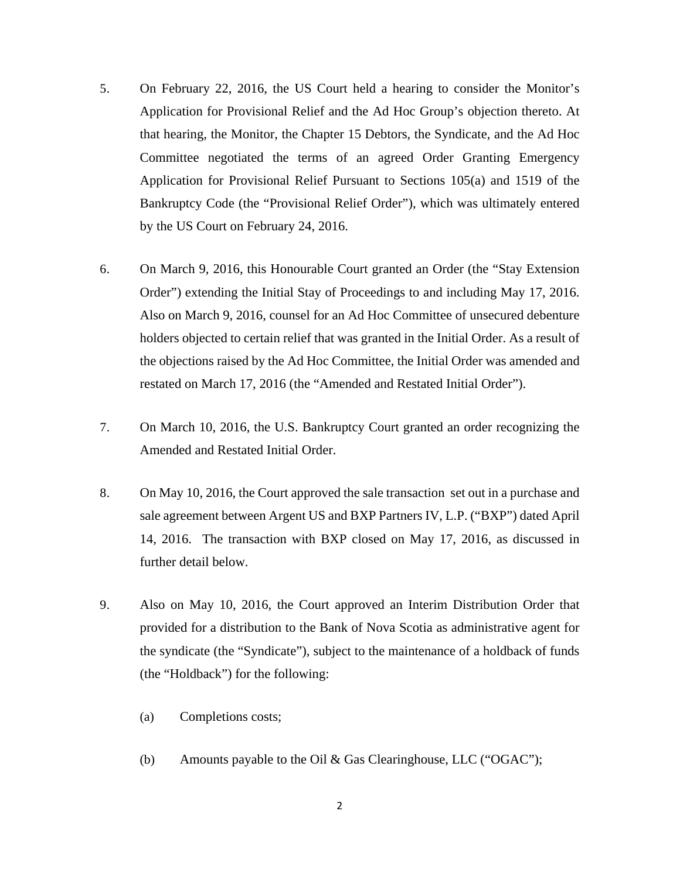- 5. On February 22, 2016, the US Court held a hearing to consider the Monitor's Application for Provisional Relief and the Ad Hoc Group's objection thereto. At that hearing, the Monitor, the Chapter 15 Debtors, the Syndicate, and the Ad Hoc Committee negotiated the terms of an agreed Order Granting Emergency Application for Provisional Relief Pursuant to Sections 105(a) and 1519 of the Bankruptcy Code (the "Provisional Relief Order"), which was ultimately entered by the US Court on February 24, 2016.
- 6. On March 9, 2016, this Honourable Court granted an Order (the "Stay Extension Order") extending the Initial Stay of Proceedings to and including May 17, 2016. Also on March 9, 2016, counsel for an Ad Hoc Committee of unsecured debenture holders objected to certain relief that was granted in the Initial Order. As a result of the objections raised by the Ad Hoc Committee, the Initial Order was amended and restated on March 17, 2016 (the "Amended and Restated Initial Order").
- 7. On March 10, 2016, the U.S. Bankruptcy Court granted an order recognizing the Amended and Restated Initial Order.
- 8. On May 10, 2016, the Court approved the sale transaction set out in a purchase and sale agreement between Argent US and BXP Partners IV, L.P. ("BXP") dated April 14, 2016. The transaction with BXP closed on May 17, 2016, as discussed in further detail below.
- 9. Also on May 10, 2016, the Court approved an Interim Distribution Order that provided for a distribution to the Bank of Nova Scotia as administrative agent for the syndicate (the "Syndicate"), subject to the maintenance of a holdback of funds (the "Holdback") for the following:
	- (a) Completions costs;
	- (b) Amounts payable to the Oil & Gas Clearinghouse, LLC ("OGAC");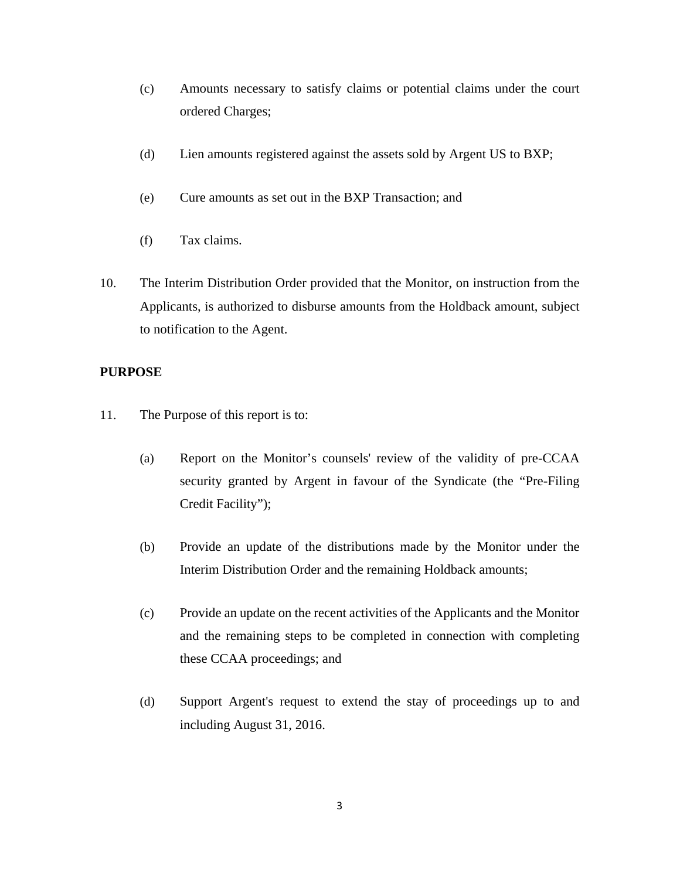- (c) Amounts necessary to satisfy claims or potential claims under the court ordered Charges;
- (d) Lien amounts registered against the assets sold by Argent US to BXP;
- (e) Cure amounts as set out in the BXP Transaction; and
- (f) Tax claims.
- 10. The Interim Distribution Order provided that the Monitor, on instruction from the Applicants, is authorized to disburse amounts from the Holdback amount, subject to notification to the Agent.

#### **PURPOSE**

- 11. The Purpose of this report is to:
	- (a) Report on the Monitor's counsels' review of the validity of pre-CCAA security granted by Argent in favour of the Syndicate (the "Pre-Filing Credit Facility");
	- (b) Provide an update of the distributions made by the Monitor under the Interim Distribution Order and the remaining Holdback amounts;
	- (c) Provide an update on the recent activities of the Applicants and the Monitor and the remaining steps to be completed in connection with completing these CCAA proceedings; and
	- (d) Support Argent's request to extend the stay of proceedings up to and including August 31, 2016.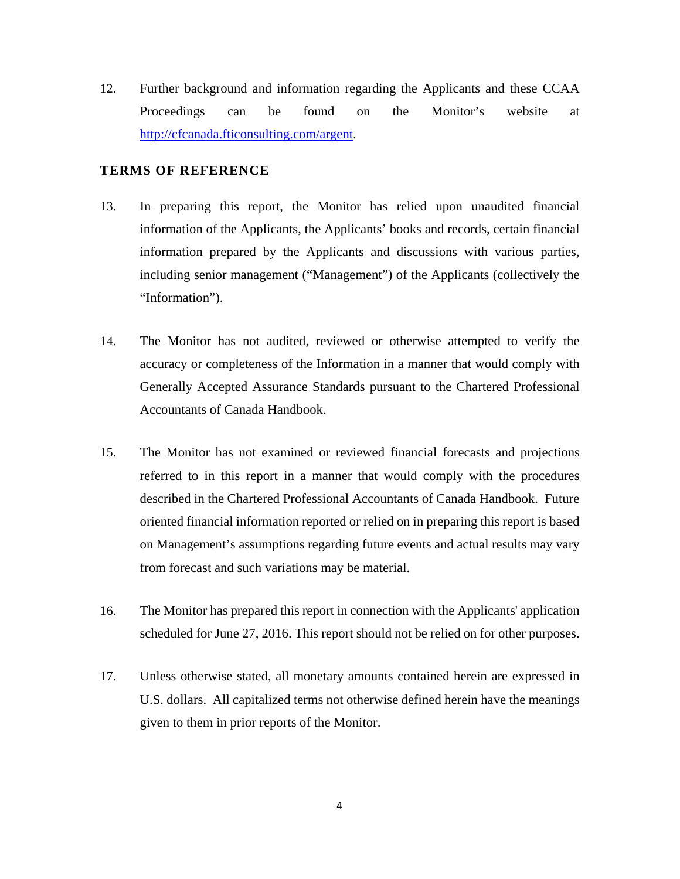12. Further background and information regarding the Applicants and these CCAA Proceedings can be found on the Monitor's website at http://cfcanada.fticonsulting.com/argent.

#### **TERMS OF REFERENCE**

- 13. In preparing this report, the Monitor has relied upon unaudited financial information of the Applicants, the Applicants' books and records, certain financial information prepared by the Applicants and discussions with various parties, including senior management ("Management") of the Applicants (collectively the "Information").
- 14. The Monitor has not audited, reviewed or otherwise attempted to verify the accuracy or completeness of the Information in a manner that would comply with Generally Accepted Assurance Standards pursuant to the Chartered Professional Accountants of Canada Handbook.
- 15. The Monitor has not examined or reviewed financial forecasts and projections referred to in this report in a manner that would comply with the procedures described in the Chartered Professional Accountants of Canada Handbook. Future oriented financial information reported or relied on in preparing this report is based on Management's assumptions regarding future events and actual results may vary from forecast and such variations may be material.
- 16. The Monitor has prepared this report in connection with the Applicants' application scheduled for June 27, 2016. This report should not be relied on for other purposes.
- 17. Unless otherwise stated, all monetary amounts contained herein are expressed in U.S. dollars. All capitalized terms not otherwise defined herein have the meanings given to them in prior reports of the Monitor.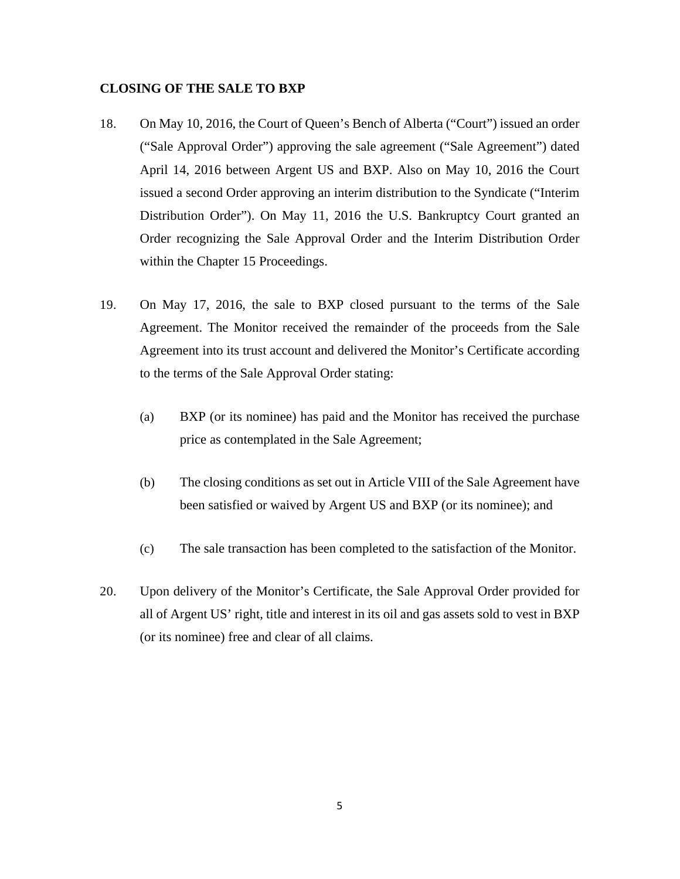#### **CLOSING OF THE SALE TO BXP**

- 18. On May 10, 2016, the Court of Queen's Bench of Alberta ("Court") issued an order ("Sale Approval Order") approving the sale agreement ("Sale Agreement") dated April 14, 2016 between Argent US and BXP. Also on May 10, 2016 the Court issued a second Order approving an interim distribution to the Syndicate ("Interim Distribution Order"). On May 11, 2016 the U.S. Bankruptcy Court granted an Order recognizing the Sale Approval Order and the Interim Distribution Order within the Chapter 15 Proceedings.
- 19. On May 17, 2016, the sale to BXP closed pursuant to the terms of the Sale Agreement. The Monitor received the remainder of the proceeds from the Sale Agreement into its trust account and delivered the Monitor's Certificate according to the terms of the Sale Approval Order stating:
	- (a) BXP (or its nominee) has paid and the Monitor has received the purchase price as contemplated in the Sale Agreement;
	- (b) The closing conditions as set out in Article VIII of the Sale Agreement have been satisfied or waived by Argent US and BXP (or its nominee); and
	- (c) The sale transaction has been completed to the satisfaction of the Monitor.
- 20. Upon delivery of the Monitor's Certificate, the Sale Approval Order provided for all of Argent US' right, title and interest in its oil and gas assets sold to vest in BXP (or its nominee) free and clear of all claims.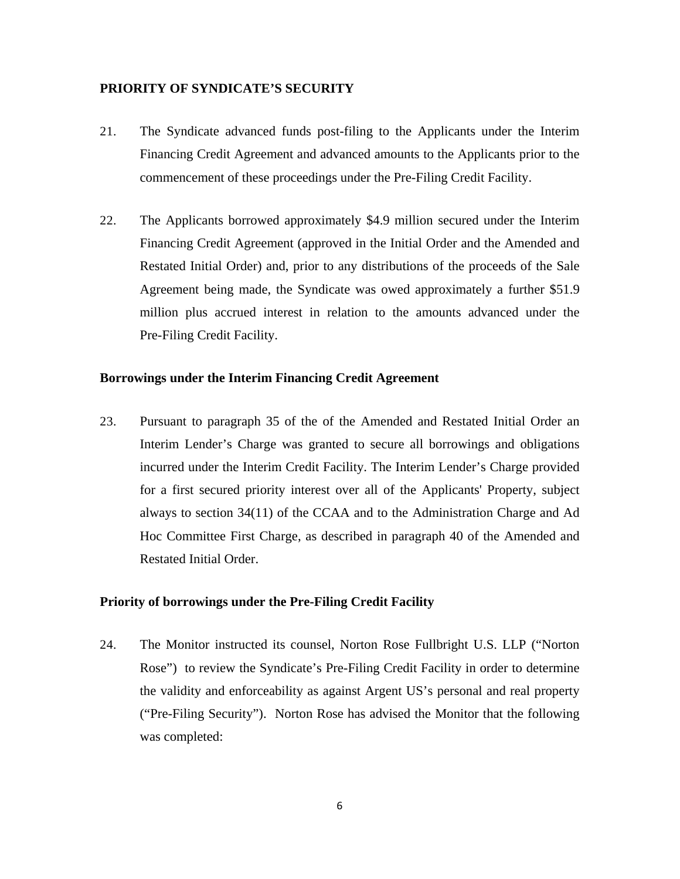#### **PRIORITY OF SYNDICATE'S SECURITY**

- 21. The Syndicate advanced funds post-filing to the Applicants under the Interim Financing Credit Agreement and advanced amounts to the Applicants prior to the commencement of these proceedings under the Pre-Filing Credit Facility.
- 22. The Applicants borrowed approximately \$4.9 million secured under the Interim Financing Credit Agreement (approved in the Initial Order and the Amended and Restated Initial Order) and, prior to any distributions of the proceeds of the Sale Agreement being made, the Syndicate was owed approximately a further \$51.9 million plus accrued interest in relation to the amounts advanced under the Pre-Filing Credit Facility.

#### **Borrowings under the Interim Financing Credit Agreement**

23. Pursuant to paragraph 35 of the of the Amended and Restated Initial Order an Interim Lender's Charge was granted to secure all borrowings and obligations incurred under the Interim Credit Facility. The Interim Lender's Charge provided for a first secured priority interest over all of the Applicants' Property, subject always to section 34(11) of the CCAA and to the Administration Charge and Ad Hoc Committee First Charge, as described in paragraph 40 of the Amended and Restated Initial Order.

#### **Priority of borrowings under the Pre-Filing Credit Facility**

24. The Monitor instructed its counsel, Norton Rose Fullbright U.S. LLP ("Norton Rose") to review the Syndicate's Pre-Filing Credit Facility in order to determine the validity and enforceability as against Argent US's personal and real property ("Pre-Filing Security"). Norton Rose has advised the Monitor that the following was completed: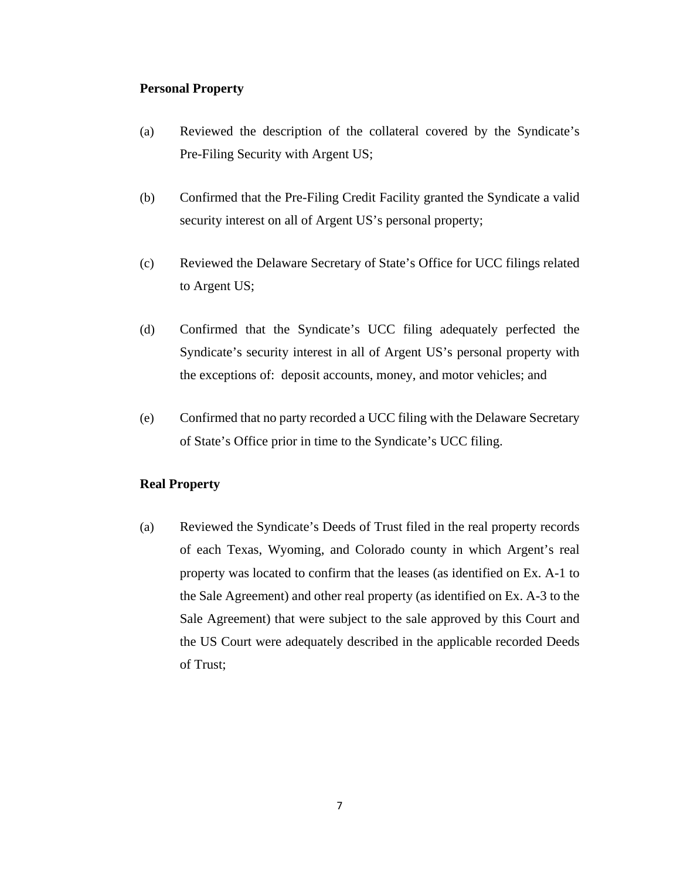#### **Personal Property**

- (a) Reviewed the description of the collateral covered by the Syndicate's Pre-Filing Security with Argent US;
- (b) Confirmed that the Pre-Filing Credit Facility granted the Syndicate a valid security interest on all of Argent US's personal property;
- (c) Reviewed the Delaware Secretary of State's Office for UCC filings related to Argent US;
- (d) Confirmed that the Syndicate's UCC filing adequately perfected the Syndicate's security interest in all of Argent US's personal property with the exceptions of: deposit accounts, money, and motor vehicles; and
- (e) Confirmed that no party recorded a UCC filing with the Delaware Secretary of State's Office prior in time to the Syndicate's UCC filing.

#### **Real Property**

(a) Reviewed the Syndicate's Deeds of Trust filed in the real property records of each Texas, Wyoming, and Colorado county in which Argent's real property was located to confirm that the leases (as identified on Ex. A-1 to the Sale Agreement) and other real property (as identified on Ex. A-3 to the Sale Agreement) that were subject to the sale approved by this Court and the US Court were adequately described in the applicable recorded Deeds of Trust;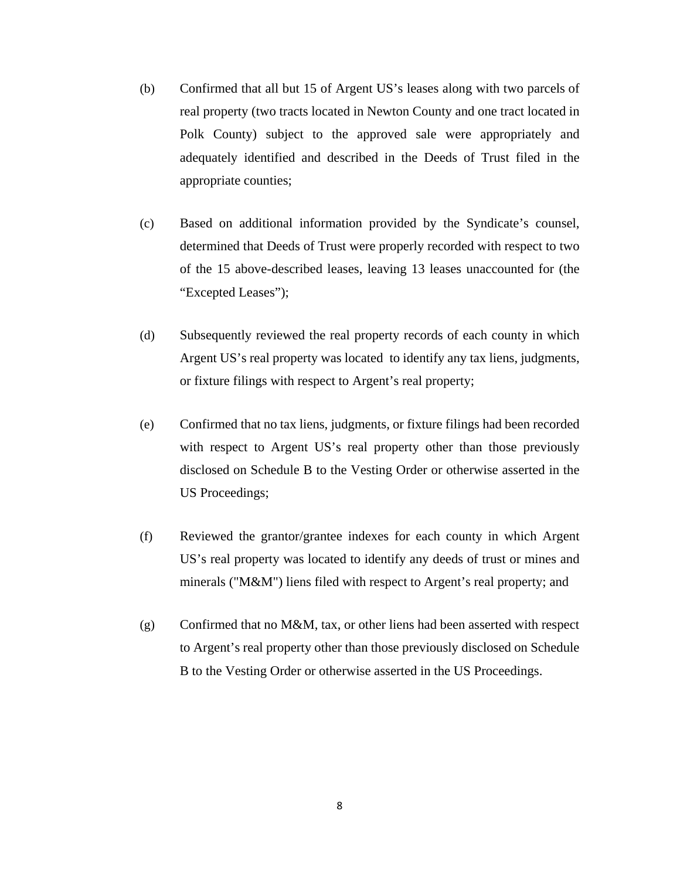- (b) Confirmed that all but 15 of Argent US's leases along with two parcels of real property (two tracts located in Newton County and one tract located in Polk County) subject to the approved sale were appropriately and adequately identified and described in the Deeds of Trust filed in the appropriate counties;
- (c) Based on additional information provided by the Syndicate's counsel, determined that Deeds of Trust were properly recorded with respect to two of the 15 above-described leases, leaving 13 leases unaccounted for (the "Excepted Leases");
- (d) Subsequently reviewed the real property records of each county in which Argent US's real property was located to identify any tax liens, judgments, or fixture filings with respect to Argent's real property;
- (e) Confirmed that no tax liens, judgments, or fixture filings had been recorded with respect to Argent US's real property other than those previously disclosed on Schedule B to the Vesting Order or otherwise asserted in the US Proceedings;
- (f) Reviewed the grantor/grantee indexes for each county in which Argent US's real property was located to identify any deeds of trust or mines and minerals ("M&M") liens filed with respect to Argent's real property; and
- (g) Confirmed that no M&M, tax, or other liens had been asserted with respect to Argent's real property other than those previously disclosed on Schedule B to the Vesting Order or otherwise asserted in the US Proceedings.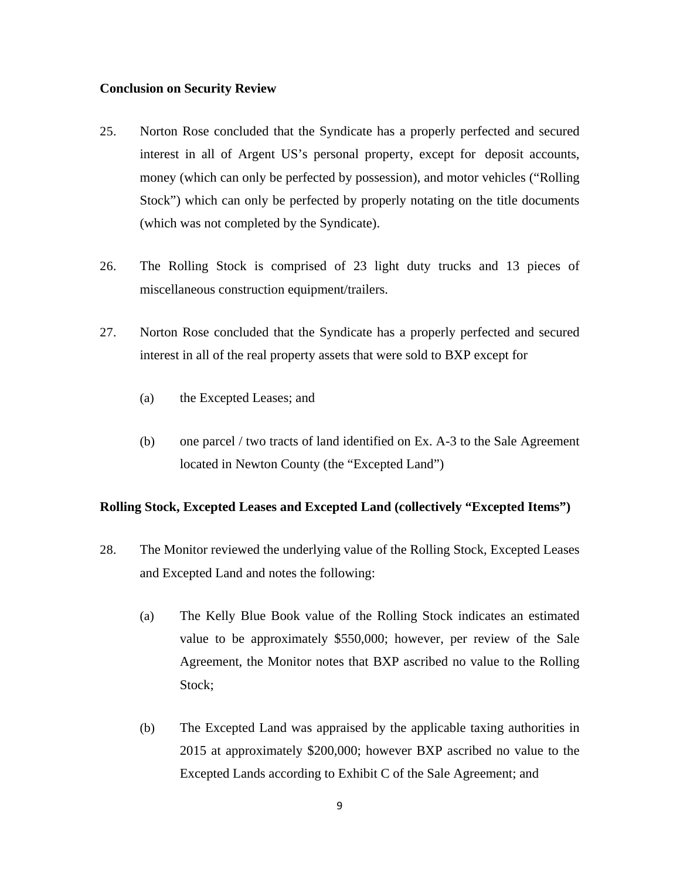#### **Conclusion on Security Review**

- 25. Norton Rose concluded that the Syndicate has a properly perfected and secured interest in all of Argent US's personal property, except for deposit accounts, money (which can only be perfected by possession), and motor vehicles ("Rolling Stock") which can only be perfected by properly notating on the title documents (which was not completed by the Syndicate).
- 26. The Rolling Stock is comprised of 23 light duty trucks and 13 pieces of miscellaneous construction equipment/trailers.
- 27. Norton Rose concluded that the Syndicate has a properly perfected and secured interest in all of the real property assets that were sold to BXP except for
	- (a) the Excepted Leases; and
	- (b) one parcel / two tracts of land identified on Ex. A-3 to the Sale Agreement located in Newton County (the "Excepted Land")

#### **Rolling Stock, Excepted Leases and Excepted Land (collectively "Excepted Items")**

- 28. The Monitor reviewed the underlying value of the Rolling Stock, Excepted Leases and Excepted Land and notes the following:
	- (a) The Kelly Blue Book value of the Rolling Stock indicates an estimated value to be approximately \$550,000; however, per review of the Sale Agreement, the Monitor notes that BXP ascribed no value to the Rolling Stock;
	- (b) The Excepted Land was appraised by the applicable taxing authorities in 2015 at approximately \$200,000; however BXP ascribed no value to the Excepted Lands according to Exhibit C of the Sale Agreement; and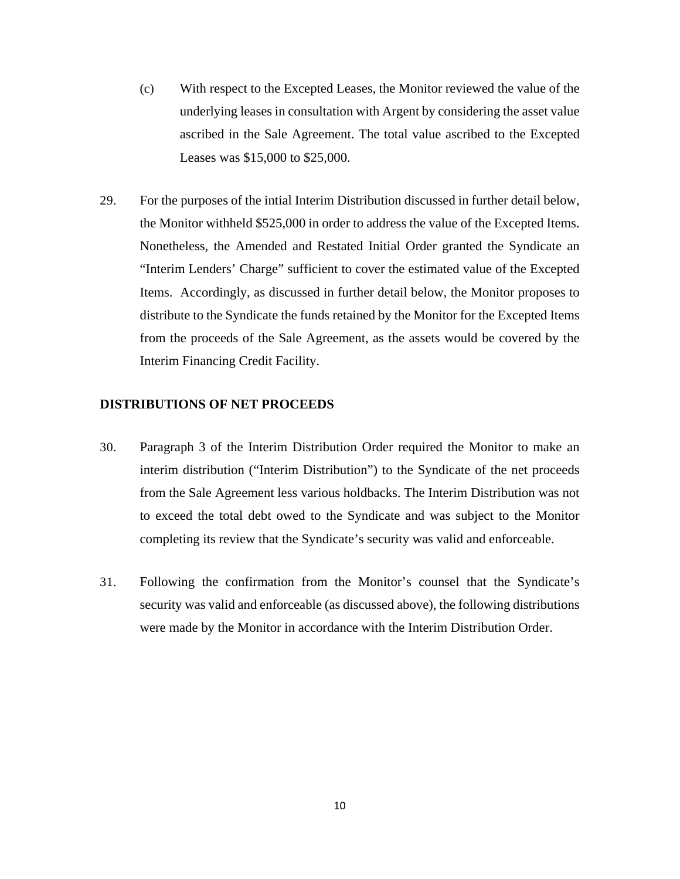- (c) With respect to the Excepted Leases, the Monitor reviewed the value of the underlying leases in consultation with Argent by considering the asset value ascribed in the Sale Agreement. The total value ascribed to the Excepted Leases was \$15,000 to \$25,000.
- 29. For the purposes of the intial Interim Distribution discussed in further detail below, the Monitor withheld \$525,000 in order to address the value of the Excepted Items. Nonetheless, the Amended and Restated Initial Order granted the Syndicate an "Interim Lenders' Charge" sufficient to cover the estimated value of the Excepted Items. Accordingly, as discussed in further detail below, the Monitor proposes to distribute to the Syndicate the funds retained by the Monitor for the Excepted Items from the proceeds of the Sale Agreement, as the assets would be covered by the Interim Financing Credit Facility.

#### **DISTRIBUTIONS OF NET PROCEEDS**

- 30. Paragraph 3 of the Interim Distribution Order required the Monitor to make an interim distribution ("Interim Distribution") to the Syndicate of the net proceeds from the Sale Agreement less various holdbacks. The Interim Distribution was not to exceed the total debt owed to the Syndicate and was subject to the Monitor completing its review that the Syndicate's security was valid and enforceable.
- 31. Following the confirmation from the Monitor's counsel that the Syndicate's security was valid and enforceable (as discussed above), the following distributions were made by the Monitor in accordance with the Interim Distribution Order.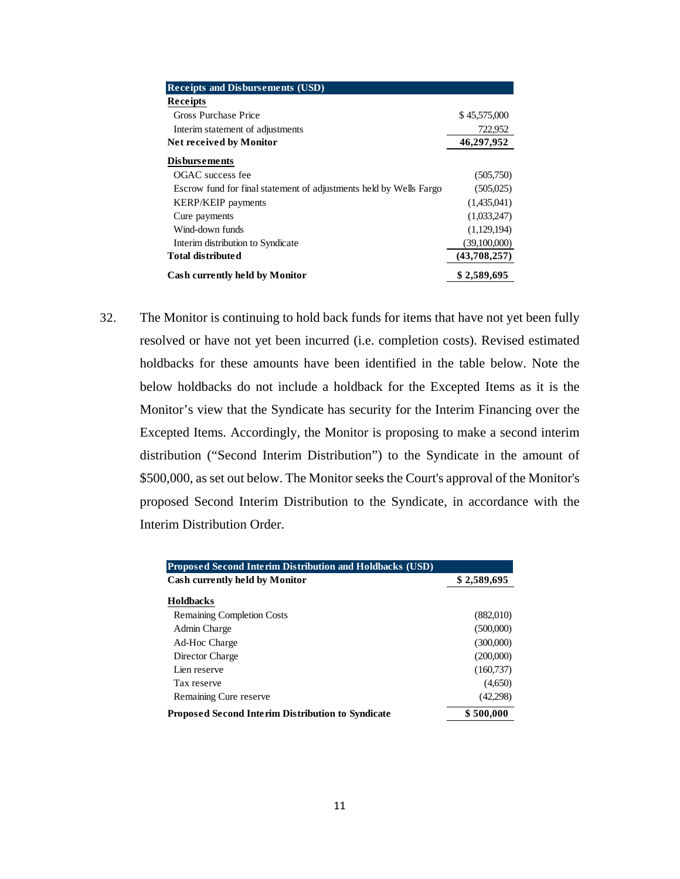| <b>Receipts and Disbursements (USD)</b>                            |              |
|--------------------------------------------------------------------|--------------|
| <b>Receipts</b>                                                    |              |
| Gross Purchase Price                                               | \$45,575,000 |
| Interim statement of adjustments                                   | 722,952      |
| <b>Net received by Monitor</b>                                     | 46,297,952   |
| <b>Disbursements</b>                                               |              |
| OGAC success fee                                                   | (505,750)    |
| Escrow fund for final statement of adjustments held by Wells Fargo | (505,025)    |
| <b>KERP/KEIP</b> payments                                          | (1,435,041)  |
| Cure payments                                                      | (1,033,247)  |
| Wind-down funds                                                    | (1,129,194)  |
| Interim distribution to Syndicate                                  | (39,100,000) |
| <b>Total distributed</b>                                           | (43,708,257) |
| <b>Cash currently held by Monitor</b>                              | \$2,589,695  |

32. The Monitor is continuing to hold back funds for items that have not yet been fully resolved or have not yet been incurred (i.e. completion costs). Revised estimated holdbacks for these amounts have been identified in the table below. Note the below holdbacks do not include a holdback for the Excepted Items as it is the Monitor's view that the Syndicate has security for the Interim Financing over the Excepted Items. Accordingly, the Monitor is proposing to make a second interim distribution ("Second Interim Distribution") to the Syndicate in the amount of \$500,000, as set out below. The Monitor seeks the Court's approval of the Monitor's proposed Second Interim Distribution to the Syndicate, in accordance with the Interim Distribution Order.

| <b>Proposed Second Interim Distribution and Holdbacks (USD)</b> |             |
|-----------------------------------------------------------------|-------------|
| <b>Cash currently held by Monitor</b>                           | \$2,589,695 |
| Holdbacks                                                       |             |
| Remaining Completion Costs                                      | (882,010)   |
| Admin Charge                                                    | (500,000)   |
| Ad-Hoc Charge                                                   | (300,000)   |
| Director Charge                                                 | (200,000)   |
| Lien reserve                                                    | (160, 737)  |
| Tax reserve                                                     | (4,650)     |
| Remaining Cure reserve                                          | (42,298)    |
| <b>Proposed Second Interim Distribution to Syndicate</b>        | \$500,000   |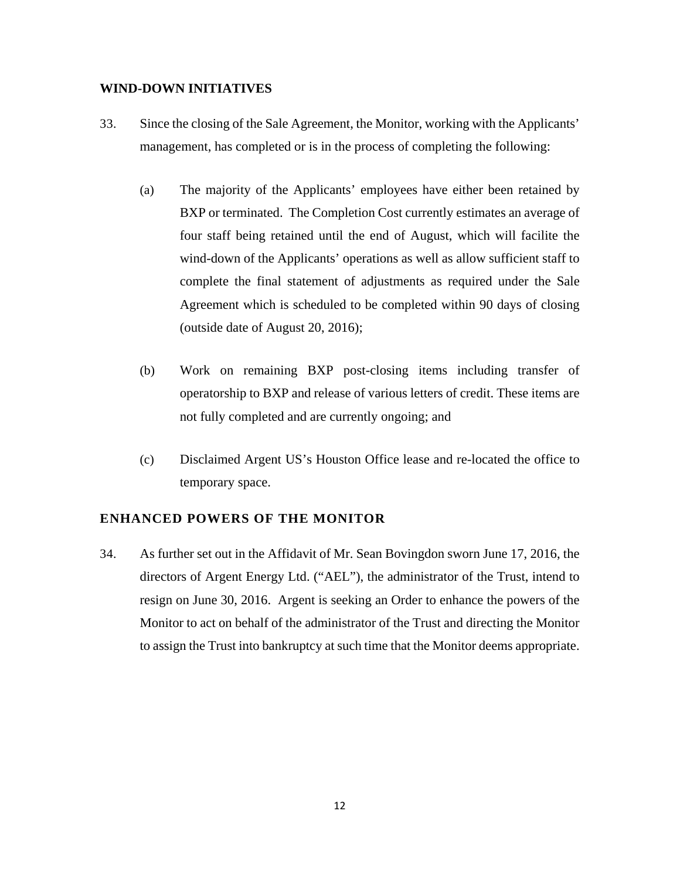#### **WIND-DOWN INITIATIVES**

- 33. Since the closing of the Sale Agreement, the Monitor, working with the Applicants' management, has completed or is in the process of completing the following:
	- (a) The majority of the Applicants' employees have either been retained by BXP or terminated. The Completion Cost currently estimates an average of four staff being retained until the end of August, which will facilite the wind-down of the Applicants' operations as well as allow sufficient staff to complete the final statement of adjustments as required under the Sale Agreement which is scheduled to be completed within 90 days of closing (outside date of August 20, 2016);
	- (b) Work on remaining BXP post-closing items including transfer of operatorship to BXP and release of various letters of credit. These items are not fully completed and are currently ongoing; and
	- (c) Disclaimed Argent US's Houston Office lease and re-located the office to temporary space.

#### **ENHANCED POWERS OF THE MONITOR**

34. As further set out in the Affidavit of Mr. Sean Bovingdon sworn June 17, 2016, the directors of Argent Energy Ltd. ("AEL"), the administrator of the Trust, intend to resign on June 30, 2016. Argent is seeking an Order to enhance the powers of the Monitor to act on behalf of the administrator of the Trust and directing the Monitor to assign the Trust into bankruptcy at such time that the Monitor deems appropriate.